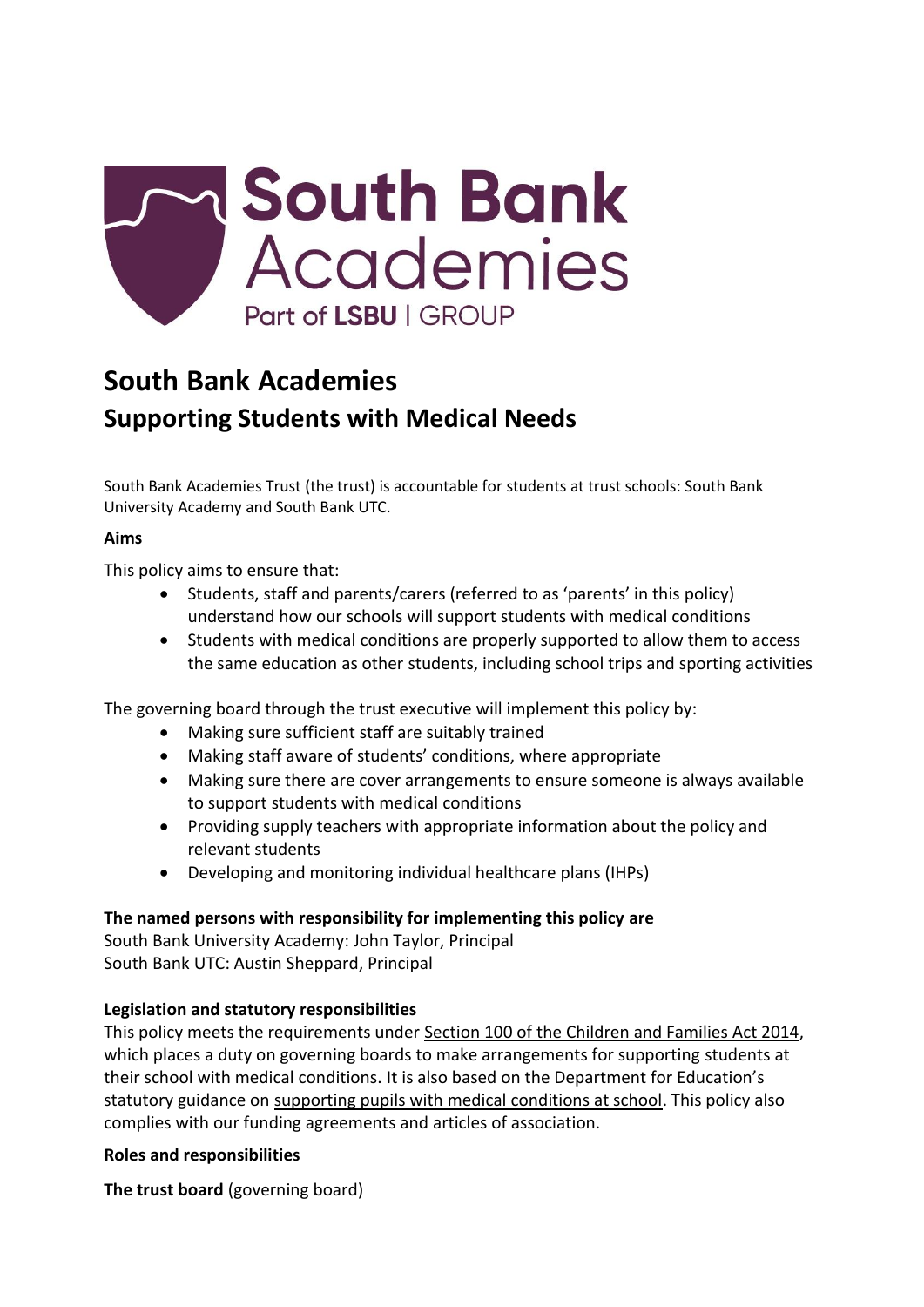

# **South Bank Academies Supporting Students with Medical Needs**

South Bank Academies Trust (the trust) is accountable for students at trust schools: South Bank University Academy and South Bank UTC.

#### **Aims**

This policy aims to ensure that:

- Students, staff and parents/carers (referred to as 'parents' in this policy) understand how our schools will support students with medical conditions
- Students with medical conditions are properly supported to allow them to access the same education as other students, including school trips and sporting activities

The governing board through the trust executive will implement this policy by:

- Making sure sufficient staff are suitably trained
- Making staff aware of students' conditions, where appropriate
- Making sure there are cover arrangements to ensure someone is always available to support students with medical conditions
- Providing supply teachers with appropriate information about the policy and relevant students
- Developing and monitoring individual healthcare plans (IHPs)

# **The named persons with responsibility for implementing this policy are**

South Bank University Academy: John Taylor, Principal South Bank UTC: Austin Sheppard, Principal

#### **Legislation and statutory responsibilities**

This policy meets the requirements under [Section 100 of the Children and Families Act 2014,](http://www.legislation.gov.uk/ukpga/2014/6/part/5/crossheading/pupils-with-medical-conditions) which places a duty on governing boards to make arrangements for supporting students at their school with medical conditions. It is also based on the Department for Education's statutory guidance on supporting pupils [with medical conditions at school.](https://www.gov.uk/government/publications/supporting-pupils-at-school-with-medical-conditions--3) This policy also complies with our funding agreements and articles of association.

#### **Roles and responsibilities**

**The trust board** (governing board)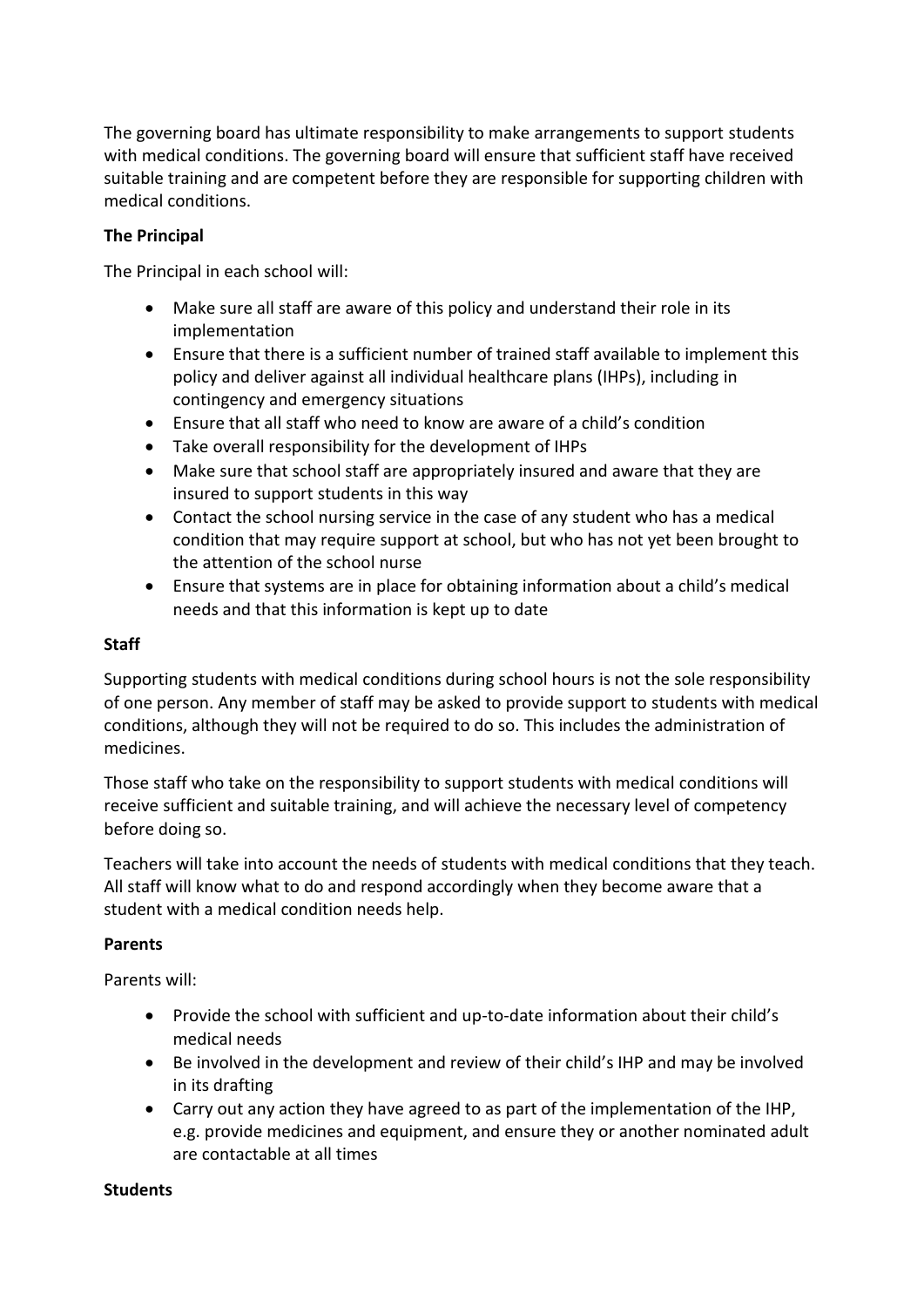The governing board has ultimate responsibility to make arrangements to support students with medical conditions. The governing board will ensure that sufficient staff have received suitable training and are competent before they are responsible for supporting children with medical conditions.

# **The Principal**

The Principal in each school will:

- Make sure all staff are aware of this policy and understand their role in its implementation
- Ensure that there is a sufficient number of trained staff available to implement this policy and deliver against all individual healthcare plans (IHPs), including in contingency and emergency situations
- Ensure that all staff who need to know are aware of a child's condition
- Take overall responsibility for the development of IHPs
- Make sure that school staff are appropriately insured and aware that they are insured to support students in this way
- Contact the school nursing service in the case of any student who has a medical condition that may require support at school, but who has not yet been brought to the attention of the school nurse
- Ensure that systems are in place for obtaining information about a child's medical needs and that this information is kept up to date

# **Staff**

Supporting students with medical conditions during school hours is not the sole responsibility of one person. Any member of staff may be asked to provide support to students with medical conditions, although they will not be required to do so. This includes the administration of medicines.

Those staff who take on the responsibility to support students with medical conditions will receive sufficient and suitable training, and will achieve the necessary level of competency before doing so.

Teachers will take into account the needs of students with medical conditions that they teach. All staff will know what to do and respond accordingly when they become aware that a student with a medical condition needs help.

# **Parents**

Parents will:

- Provide the school with sufficient and up-to-date information about their child's medical needs
- Be involved in the development and review of their child's IHP and may be involved in its drafting
- Carry out any action they have agreed to as part of the implementation of the IHP, e.g. provide medicines and equipment, and ensure they or another nominated adult are contactable at all times

# **Students**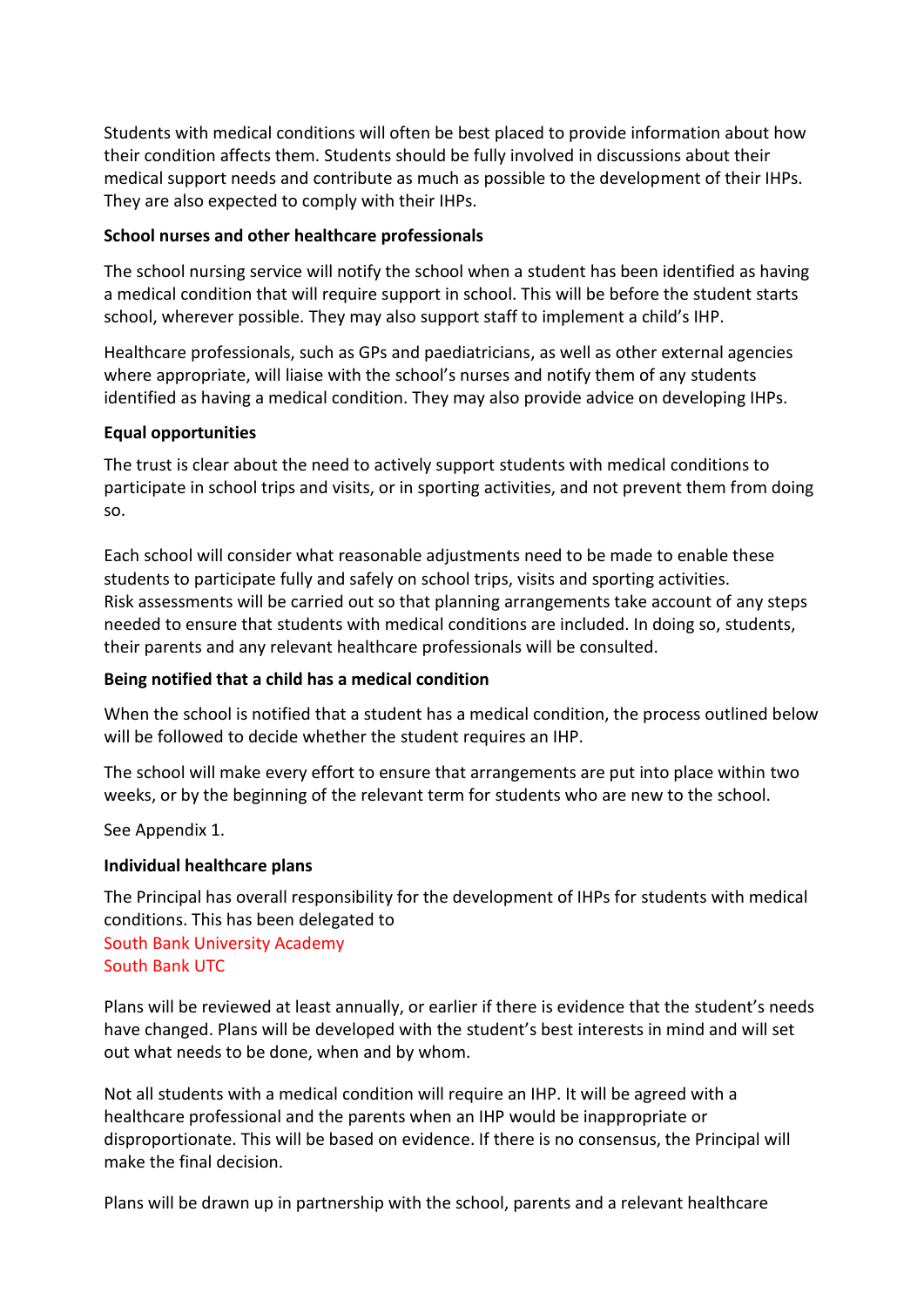Students with medical conditions will often be best placed to provide information about how their condition affects them. Students should be fully involved in discussions about their medical support needs and contribute as much as possible to the development of their IHPs. They are also expected to comply with their IHPs.

#### **School nurses and other healthcare professionals**

The school nursing service will notify the school when a student has been identified as having a medical condition that will require support in school. This will be before the student starts school, wherever possible. They may also support staff to implement a child's IHP.

Healthcare professionals, such as GPs and paediatricians, as well as other external agencies where appropriate, will liaise with the school's nurses and notify them of any students identified as having a medical condition. They may also provide advice on developing IHPs.

#### **Equal opportunities**

The trust is clear about the need to actively support students with medical conditions to participate in school trips and visits, or in sporting activities, and not prevent them from doing so.

Each school will consider what reasonable adjustments need to be made to enable these students to participate fully and safely on school trips, visits and sporting activities. Risk assessments will be carried out so that planning arrangements take account of any steps needed to ensure that students with medical conditions are included. In doing so, students, their parents and any relevant healthcare professionals will be consulted.

#### **Being notified that a child has a medical condition**

When the school is notified that a student has a medical condition, the process outlined below will be followed to decide whether the student requires an IHP.

The school will make every effort to ensure that arrangements are put into place within two weeks, or by the beginning of the relevant term for students who are new to the school.

See Appendix 1.

#### **Individual healthcare plans**

The Principal has overall responsibility for the development of IHPs for students with medical conditions. This has been delegated to South Bank University Academy South Bank UTC

Plans will be reviewed at least annually, or earlier if there is evidence that the student's needs have changed. Plans will be developed with the student's best interests in mind and will set out what needs to be done, when and by whom.

Not all students with a medical condition will require an IHP. It will be agreed with a healthcare professional and the parents when an IHP would be inappropriate or disproportionate. This will be based on evidence. If there is no consensus, the Principal will make the final decision.

Plans will be drawn up in partnership with the school, parents and a relevant healthcare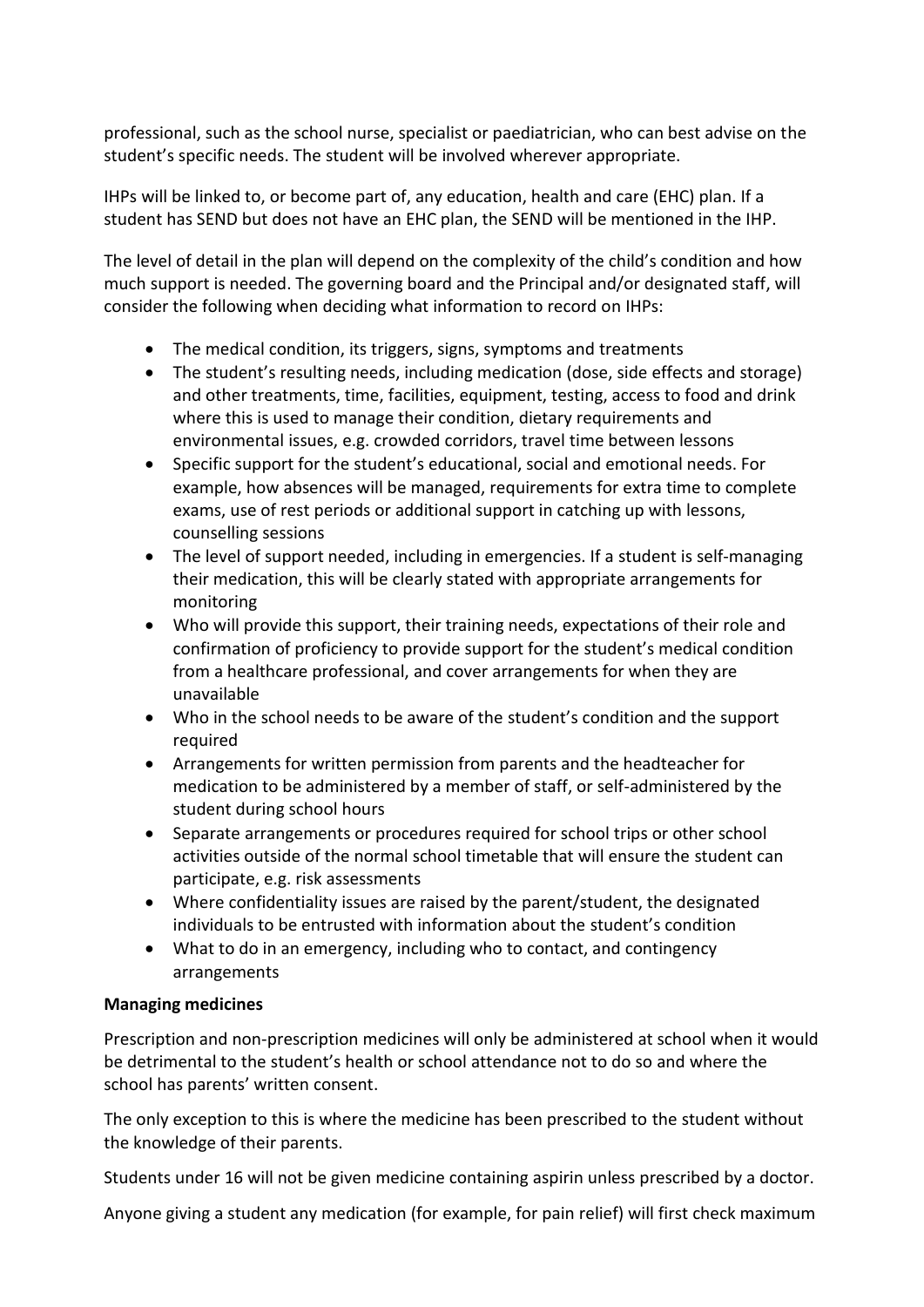professional, such as the school nurse, specialist or paediatrician, who can best advise on the student's specific needs. The student will be involved wherever appropriate.

IHPs will be linked to, or become part of, any education, health and care (EHC) plan. If a student has SEND but does not have an EHC plan, the SEND will be mentioned in the IHP.

The level of detail in the plan will depend on the complexity of the child's condition and how much support is needed. The governing board and the Principal and/or designated staff, will consider the following when deciding what information to record on IHPs:

- The medical condition, its triggers, signs, symptoms and treatments
- The student's resulting needs, including medication (dose, side effects and storage) and other treatments, time, facilities, equipment, testing, access to food and drink where this is used to manage their condition, dietary requirements and environmental issues, e.g. crowded corridors, travel time between lessons
- Specific support for the student's educational, social and emotional needs. For example, how absences will be managed, requirements for extra time to complete exams, use of rest periods or additional support in catching up with lessons, counselling sessions
- The level of support needed, including in emergencies. If a student is self-managing their medication, this will be clearly stated with appropriate arrangements for monitoring
- Who will provide this support, their training needs, expectations of their role and confirmation of proficiency to provide support for the student's medical condition from a healthcare professional, and cover arrangements for when they are unavailable
- Who in the school needs to be aware of the student's condition and the support required
- Arrangements for written permission from parents and the headteacher for medication to be administered by a member of staff, or self-administered by the student during school hours
- Separate arrangements or procedures required for school trips or other school activities outside of the normal school timetable that will ensure the student can participate, e.g. risk assessments
- Where confidentiality issues are raised by the parent/student, the designated individuals to be entrusted with information about the student's condition
- What to do in an emergency, including who to contact, and contingency arrangements

# **Managing medicines**

Prescription and non-prescription medicines will only be administered at school when it would be detrimental to the student's health or school attendance not to do so and where the school has parents' written consent.

The only exception to this is where the medicine has been prescribed to the student without the knowledge of their parents.

Students under 16 will not be given medicine containing aspirin unless prescribed by a doctor.

Anyone giving a student any medication (for example, for pain relief) will first check maximum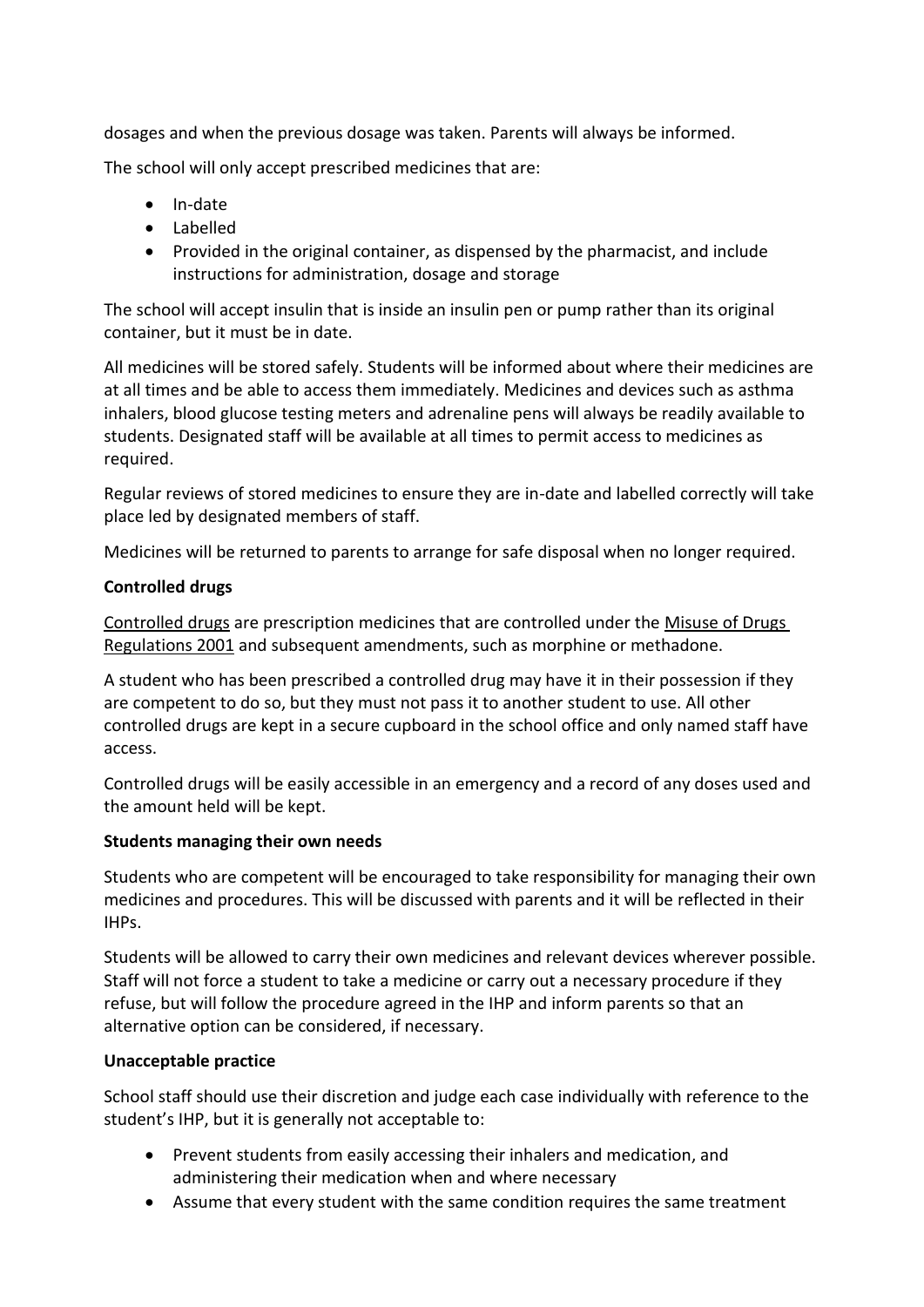dosages and when the previous dosage was taken. Parents will always be informed.

The school will only accept prescribed medicines that are:

- In-date
- Labelled
- Provided in the original container, as dispensed by the pharmacist, and include instructions for administration, dosage and storage

The school will accept insulin that is inside an insulin pen or pump rather than its original container, but it must be in date.

All medicines will be stored safely. Students will be informed about where their medicines are at all times and be able to access them immediately. Medicines and devices such as asthma inhalers, blood glucose testing meters and adrenaline pens will always be readily available to students. Designated staff will be available at all times to permit access to medicines as required.

Regular reviews of stored medicines to ensure they are in-date and labelled correctly will take place led by designated members of staff.

Medicines will be returned to parents to arrange for safe disposal when no longer required.

# **Controlled drugs**

[Controlled drugs](http://www.nhs.uk/chq/Pages/1391.aspx?CategoryID=73) are prescription medicines that are controlled under the [Misuse of Drugs](http://www.legislation.gov.uk/uksi/2001/3998/schedule/1/made)  [Regulations 2001](http://www.legislation.gov.uk/uksi/2001/3998/schedule/1/made) and subsequent amendments, such as morphine or methadone.

A student who has been prescribed a controlled drug may have it in their possession if they are competent to do so, but they must not pass it to another student to use. All other controlled drugs are kept in a secure cupboard in the school office and only named staff have access.

Controlled drugs will be easily accessible in an emergency and a record of any doses used and the amount held will be kept.

# **Students managing their own needs**

Students who are competent will be encouraged to take responsibility for managing their own medicines and procedures. This will be discussed with parents and it will be reflected in their IHPs.

Students will be allowed to carry their own medicines and relevant devices wherever possible. Staff will not force a student to take a medicine or carry out a necessary procedure if they refuse, but will follow the procedure agreed in the IHP and inform parents so that an alternative option can be considered, if necessary.

# **Unacceptable practice**

School staff should use their discretion and judge each case individually with reference to the student's IHP, but it is generally not acceptable to:

- Prevent students from easily accessing their inhalers and medication, and administering their medication when and where necessary
- Assume that every student with the same condition requires the same treatment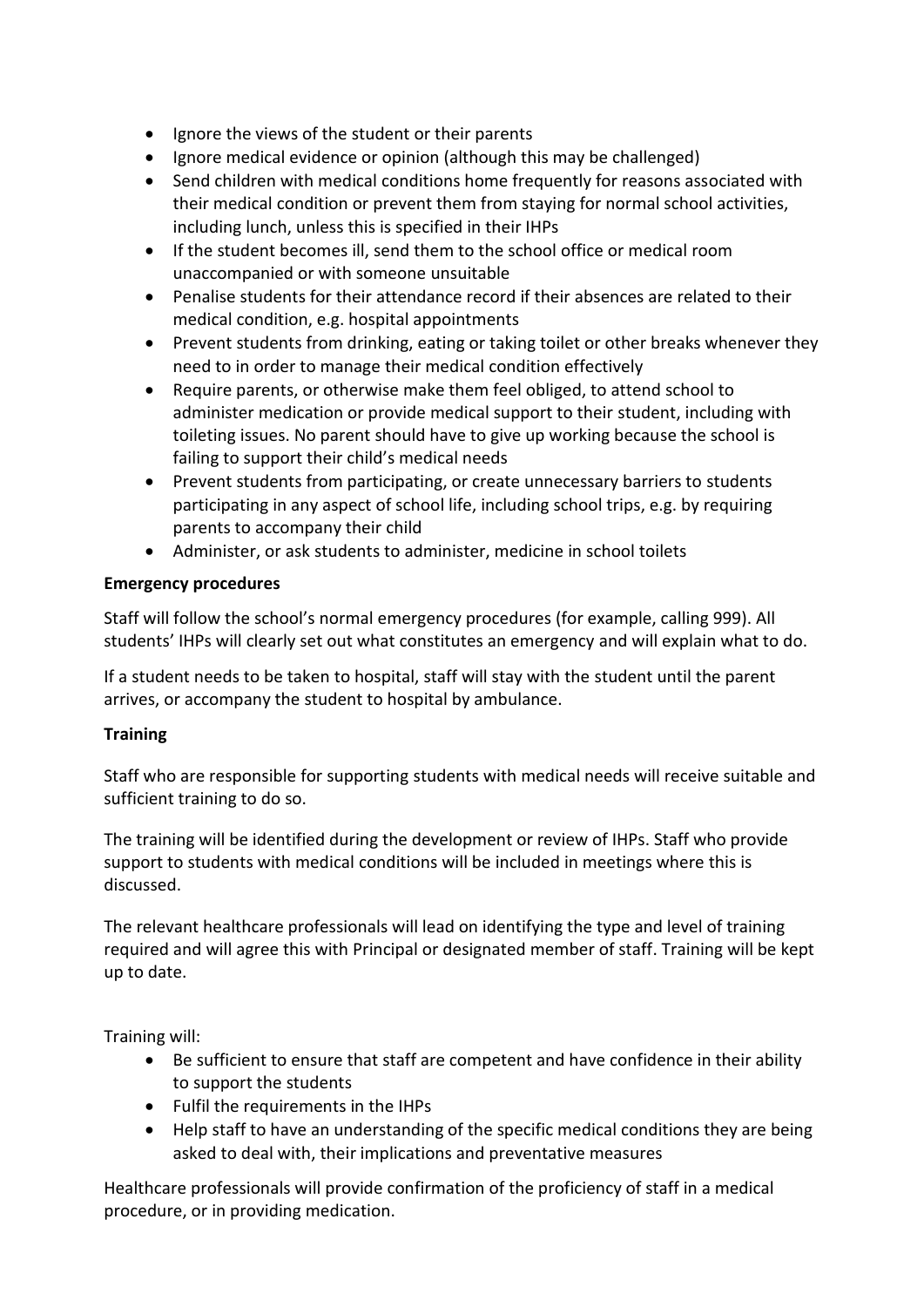- Ignore the views of the student or their parents
- Ignore medical evidence or opinion (although this may be challenged)
- Send children with medical conditions home frequently for reasons associated with their medical condition or prevent them from staying for normal school activities, including lunch, unless this is specified in their IHPs
- If the student becomes ill, send them to the school office or medical room unaccompanied or with someone unsuitable
- Penalise students for their attendance record if their absences are related to their medical condition, e.g. hospital appointments
- Prevent students from drinking, eating or taking toilet or other breaks whenever they need to in order to manage their medical condition effectively
- Require parents, or otherwise make them feel obliged, to attend school to administer medication or provide medical support to their student, including with toileting issues. No parent should have to give up working because the school is failing to support their child's medical needs
- Prevent students from participating, or create unnecessary barriers to students participating in any aspect of school life, including school trips, e.g. by requiring parents to accompany their child
- Administer, or ask students to administer, medicine in school toilets

# **Emergency procedures**

Staff will follow the school's normal emergency procedures (for example, calling 999). All students' IHPs will clearly set out what constitutes an emergency and will explain what to do.

If a student needs to be taken to hospital, staff will stay with the student until the parent arrives, or accompany the student to hospital by ambulance.

# **Training**

Staff who are responsible for supporting students with medical needs will receive suitable and sufficient training to do so.

The training will be identified during the development or review of IHPs. Staff who provide support to students with medical conditions will be included in meetings where this is discussed.

The relevant healthcare professionals will lead on identifying the type and level of training required and will agree this with Principal or designated member of staff. Training will be kept up to date.

Training will:

- Be sufficient to ensure that staff are competent and have confidence in their ability to support the students
- Fulfil the requirements in the IHPs
- Help staff to have an understanding of the specific medical conditions they are being asked to deal with, their implications and preventative measures

Healthcare professionals will provide confirmation of the proficiency of staff in a medical procedure, or in providing medication.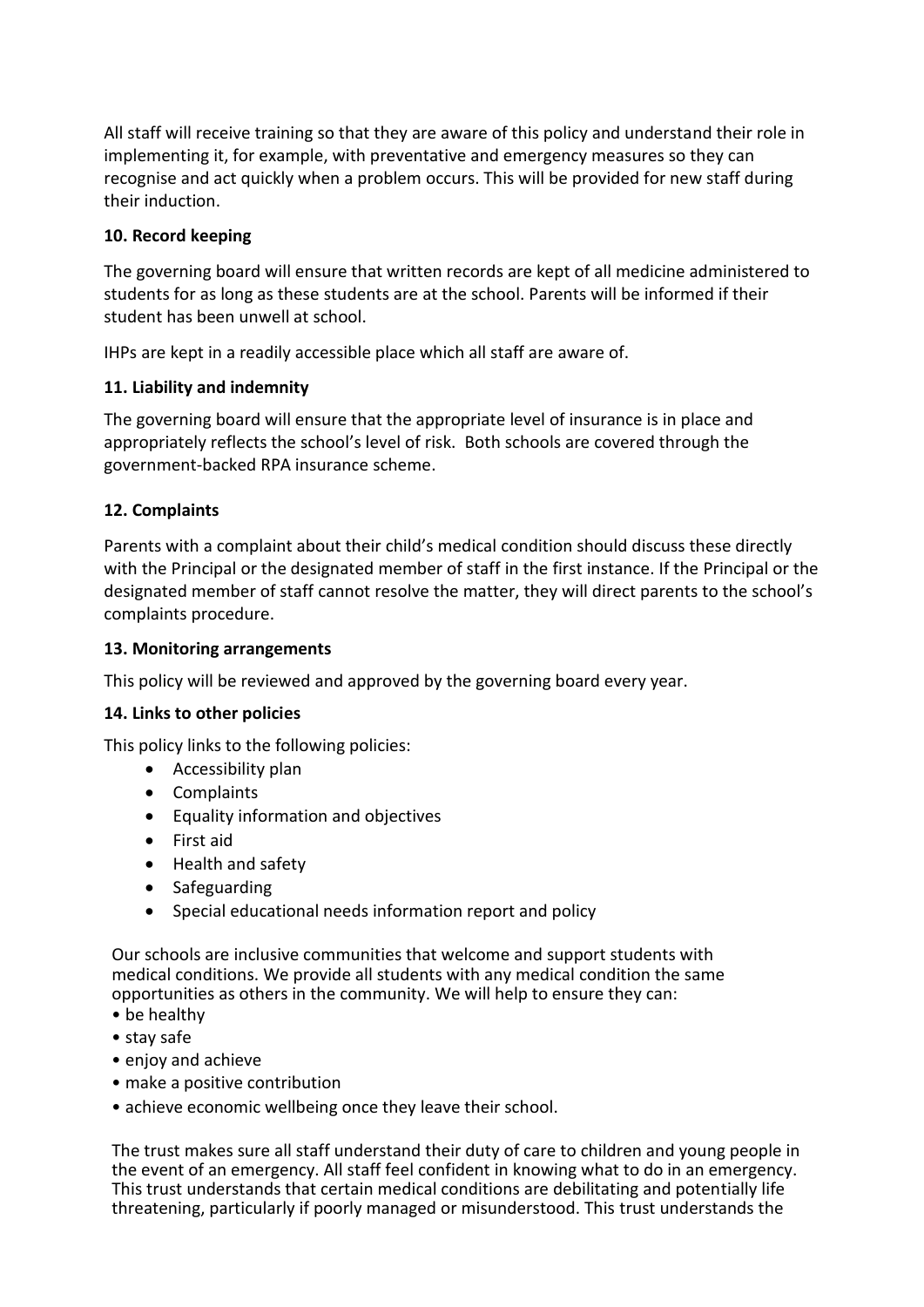All staff will receive training so that they are aware of this policy and understand their role in implementing it, for example, with preventative and emergency measures so they can recognise and act quickly when a problem occurs. This will be provided for new staff during their induction.

### **10. Record keeping**

The governing board will ensure that written records are kept of all medicine administered to students for as long as these students are at the school. Parents will be informed if their student has been unwell at school.

IHPs are kept in a readily accessible place which all staff are aware of.

#### **11. Liability and indemnity**

The governing board will ensure that the appropriate level of insurance is in place and appropriately reflects the school's level of risk. Both schools are covered through the government-backed RPA insurance scheme.

#### **12. Complaints**

Parents with a complaint about their child's medical condition should discuss these directly with the Principal or the designated member of staff in the first instance. If the Principal or the designated member of staff cannot resolve the matter, they will direct parents to the school's complaints procedure.

#### **13. Monitoring arrangements**

This policy will be reviewed and approved by the governing board every year.

#### **14. Links to other policies**

This policy links to the following policies:

- Accessibility plan
- Complaints
- Equality information and objectives
- First aid
- Health and safety
- Safeguarding
- Special educational needs information report and policy

Our schools are inclusive communities that welcome and support students with medical conditions. We provide all students with any medical condition the same opportunities as others in the community. We will help to ensure they can:

- be healthy
- stay safe
- enjoy and achieve
- make a positive contribution
- achieve economic wellbeing once they leave their school.

The trust makes sure all staff understand their duty of care to children and young people in the event of an emergency. All staff feel confident in knowing what to do in an emergency. This trust understands that certain medical conditions are debilitating and potentially life threatening, particularly if poorly managed or misunderstood. This trust understands the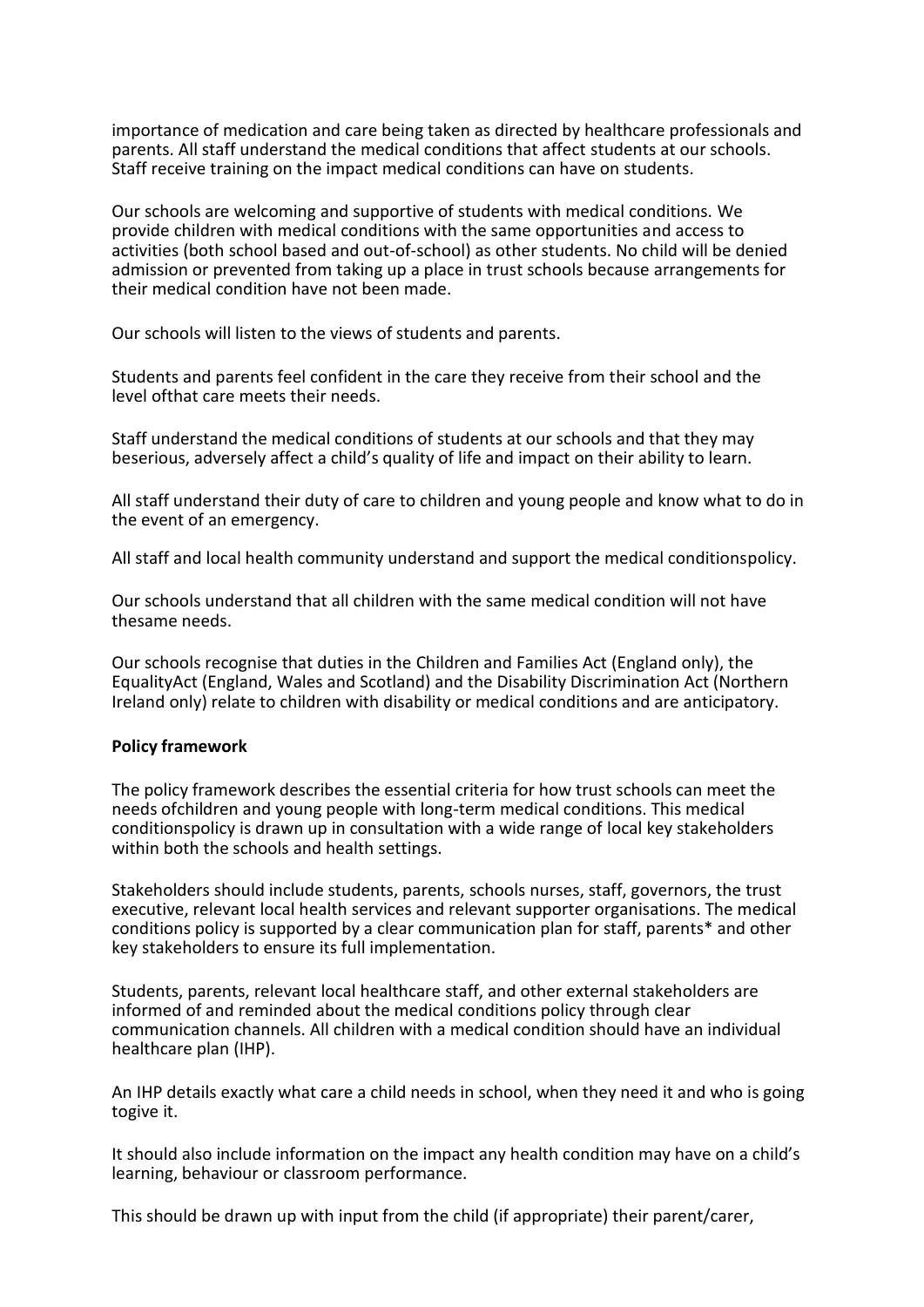importance of medication and care being taken as directed by healthcare professionals and parents. All staff understand the medical conditions that affect students at our schools. Staff receive training on the impact medical conditions can have on students.

Our schools are welcoming and supportive of students with medical conditions. We provide children with medical conditions with the same opportunities and access to activities (both school based and out-of-school) as other students. No child will be denied admission or prevented from taking up a place in trust schools because arrangements for their medical condition have not been made.

Our schools will listen to the views of students and parents.

Students and parents feel confident in the care they receive from their school and the level ofthat care meets their needs.

Staff understand the medical conditions of students at our schools and that they may beserious, adversely affect a child's quality of life and impact on their ability to learn.

All staff understand their duty of care to children and young people and know what to do in the event of an emergency.

All staff and local health community understand and support the medical conditionspolicy.

Our schools understand that all children with the same medical condition will not have thesame needs.

Our schools recognise that duties in the Children and Families Act (England only), the EqualityAct (England, Wales and Scotland) and the Disability Discrimination Act (Northern Ireland only) relate to children with disability or medical conditions and are anticipatory.

#### **Policy framework**

The policy framework describes the essential criteria for how trust schools can meet the needs ofchildren and young people with long-term medical conditions. This medical conditionspolicy is drawn up in consultation with a wide range of local key stakeholders within both the schools and health settings.

Stakeholders should include students, parents, schools nurses, staff, governors, the trust executive, relevant local health services and relevant supporter organisations. The medical conditions policy is supported by a clear communication plan for staff, parents\* and other key stakeholders to ensure its full implementation.

Students, parents, relevant local healthcare staff, and other external stakeholders are informed of and reminded about the medical conditions policy through clear communication channels. All children with a medical condition should have an individual healthcare plan (IHP).

An IHP details exactly what care a child needs in school, when they need it and who is going togive it.

It should also include information on the impact any health condition may have on a child's learning, behaviour or classroom performance.

This should be drawn up with input from the child (if appropriate) their parent/carer,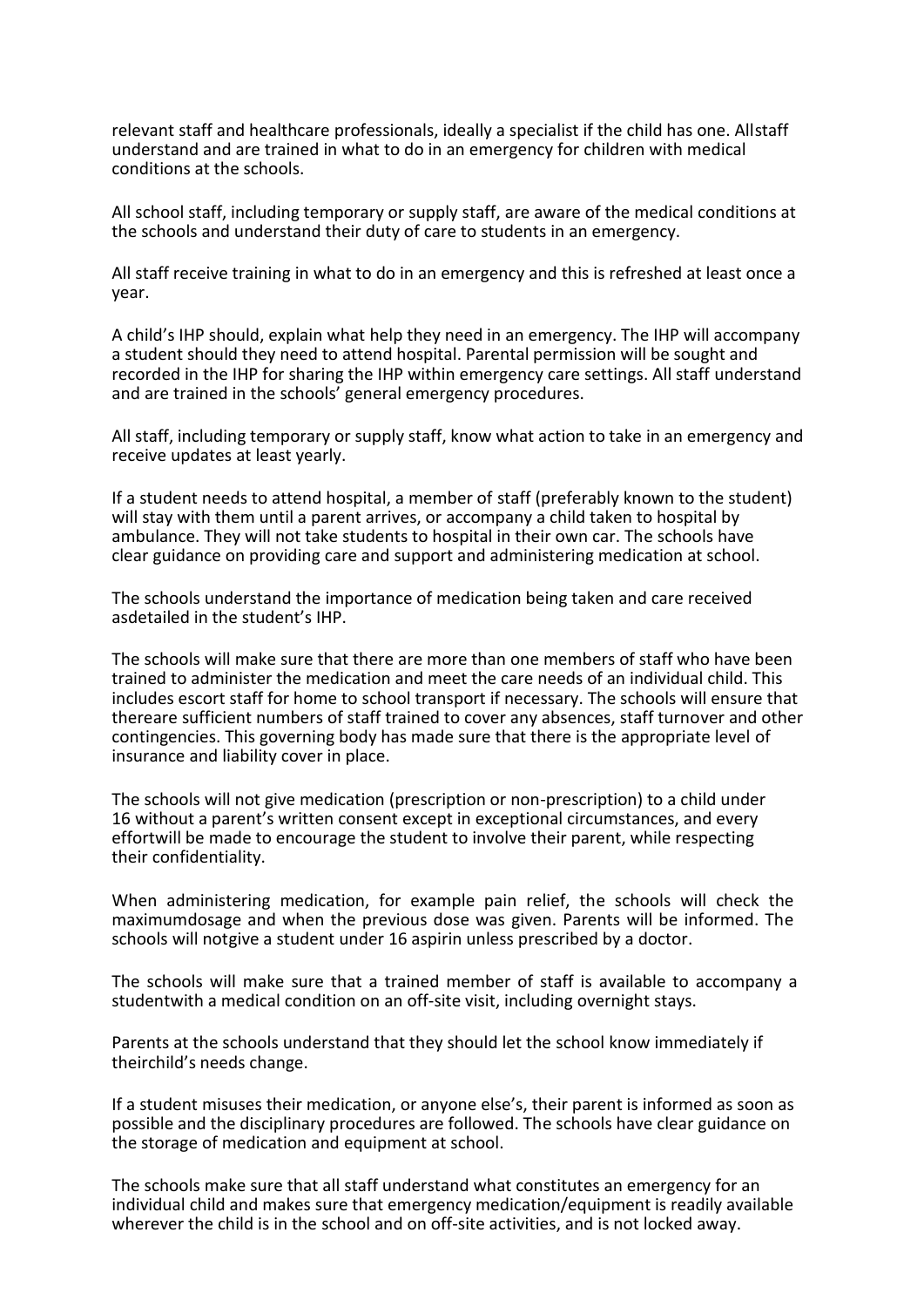relevant staff and healthcare professionals, ideally a specialist if the child has one. Allstaff understand and are trained in what to do in an emergency for children with medical conditions at the schools.

All school staff, including temporary or supply staff, are aware of the medical conditions at the schools and understand their duty of care to students in an emergency.

All staff receive training in what to do in an emergency and this is refreshed at least once a year.

A child's IHP should, explain what help they need in an emergency. The IHP will accompany a student should they need to attend hospital. Parental permission will be sought and recorded in the IHP for sharing the IHP within emergency care settings. All staff understand and are trained in the schools' general emergency procedures.

All staff, including temporary or supply staff, know what action to take in an emergency and receive updates at least yearly.

If a student needs to attend hospital, a member of staff (preferably known to the student) will stay with them until a parent arrives, or accompany a child taken to hospital by ambulance. They will not take students to hospital in their own car. The schools have clear guidance on providing care and support and administering medication at school.

The schools understand the importance of medication being taken and care received asdetailed in the student's IHP.

The schools will make sure that there are more than one members of staff who have been trained to administer the medication and meet the care needs of an individual child. This includes escort staff for home to school transport if necessary. The schools will ensure that thereare sufficient numbers of staff trained to cover any absences, staff turnover and other contingencies. This governing body has made sure that there is the appropriate level of insurance and liability cover in place.

The schools will not give medication (prescription or non-prescription) to a child under 16 without a parent's written consent except in exceptional circumstances, and every effortwill be made to encourage the student to involve their parent, while respecting their confidentiality.

When administering medication, for example pain relief, the schools will check the maximumdosage and when the previous dose was given. Parents will be informed. The schools will notgive a student under 16 aspirin unless prescribed by a doctor.

The schools will make sure that a trained member of staff is available to accompany a studentwith a medical condition on an off-site visit, including overnight stays.

Parents at the schools understand that they should let the school know immediately if theirchild's needs change.

If a student misuses their medication, or anyone else's, their parent is informed as soon as possible and the disciplinary procedures are followed. The schools have clear guidance on the storage of medication and equipment at school.

The schools make sure that all staff understand what constitutes an emergency for an individual child and makes sure that emergency medication/equipment is readily available wherever the child is in the school and on off-site activities, and is not locked away.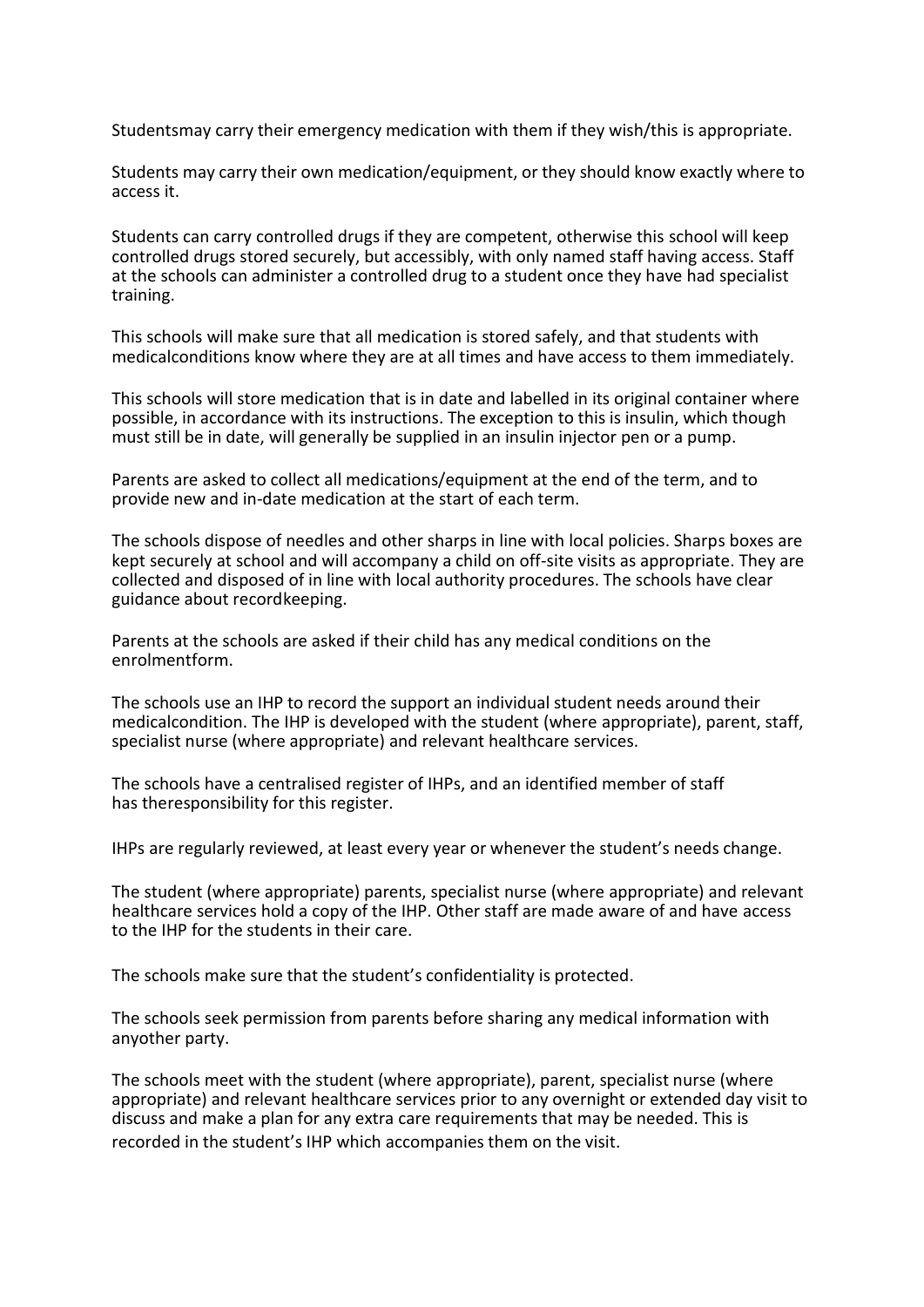Studentsmay carry their emergency medication with them if they wish/this is appropriate.

Students may carry their own medication/equipment, or they should know exactly where to access it.

Students can carry controlled drugs if they are competent, otherwise this school will keep controlled drugs stored securely, but accessibly, with only named staff having access. Staff at the schools can administer a controlled drug to a student once they have had specialist training.

This schools will make sure that all medication is stored safely, and that students with medicalconditions know where they are at all times and have access to them immediately.

This schools will store medication that is in date and labelled in its original container where possible, in accordance with its instructions. The exception to this is insulin, which though must still be in date, will generally be supplied in an insulin injector pen or a pump.

Parents are asked to collect all medications/equipment at the end of the term, and to provide new and in-date medication at the start of each term.

The schools dispose of needles and other sharps in line with local policies. Sharps boxes are kept securely at school and will accompany a child on off-site visits as appropriate. They are collected and disposed of in line with local authority procedures. The schools have clear guidance about recordkeeping.

Parents at the schools are asked if their child has any medical conditions on the enrolmentform.

The schools use an IHP to record the support an individual student needs around their medicalcondition. The IHP is developed with the student (where appropriate), parent, staff, specialist nurse (where appropriate) and relevant healthcare services.

The schools have a centralised register of IHPs, and an identified member of staff has theresponsibility for this register.

IHPs are regularly reviewed, at least every year or whenever the student's needs change.

The student (where appropriate) parents, specialist nurse (where appropriate) and relevant healthcare services hold a copy of the IHP. Other staff are made aware of and have access to the IHP for the students in their care.

The schools make sure that the student's confidentiality is protected.

The schools seek permission from parents before sharing any medical information with anyother party.

The schools meet with the student (where appropriate), parent, specialist nurse (where appropriate) and relevant healthcare services prior to any overnight or extended day visit to discuss and make a plan for any extra care requirements that may be needed. This is recorded in the student's IHP which accompanies them on the visit.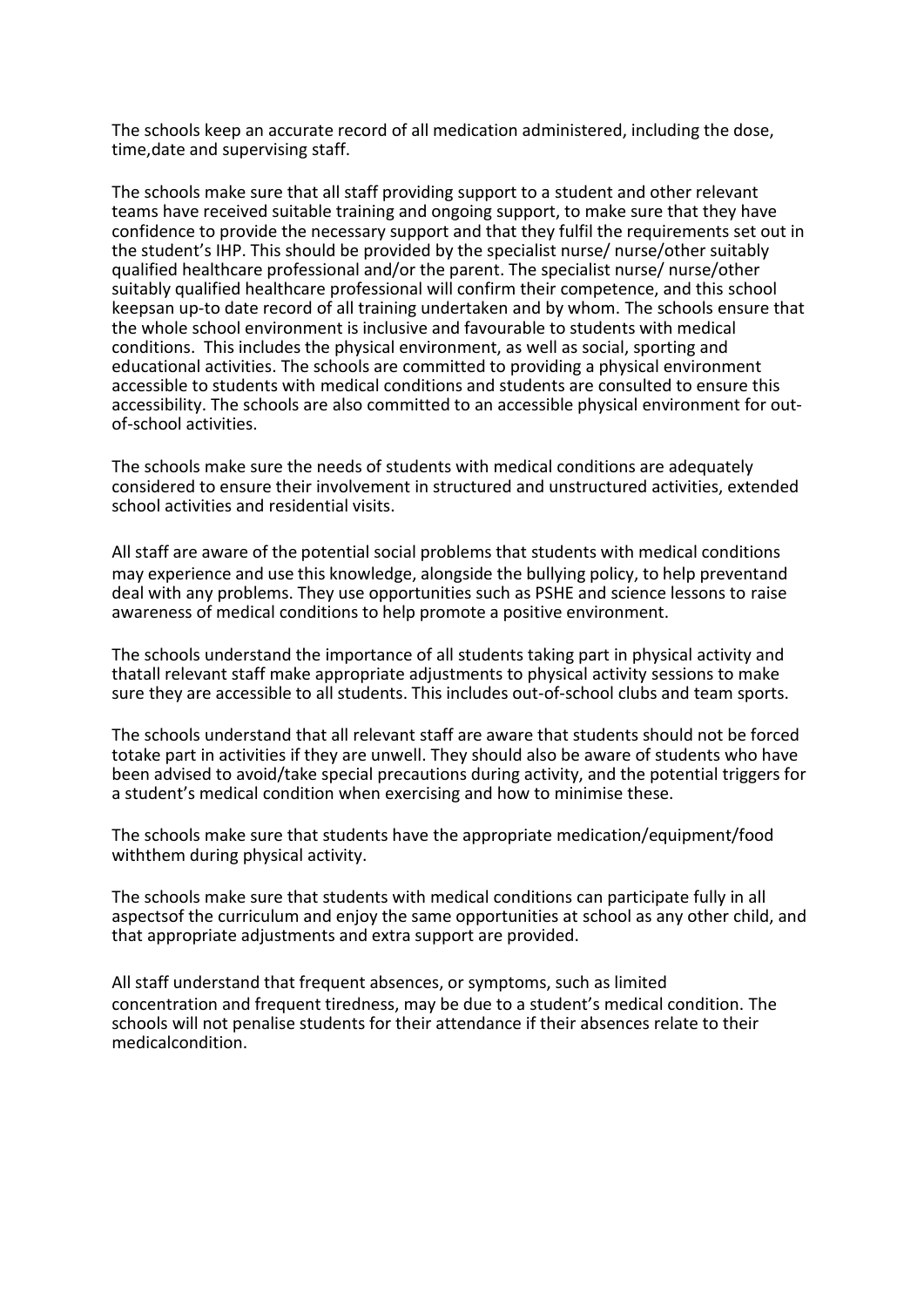The schools keep an accurate record of all medication administered, including the dose, time,date and supervising staff.

The schools make sure that all staff providing support to a student and other relevant teams have received suitable training and ongoing support, to make sure that they have confidence to provide the necessary support and that they fulfil the requirements set out in the student's IHP. This should be provided by the specialist nurse/ nurse/other suitably qualified healthcare professional and/or the parent. The specialist nurse/ nurse/other suitably qualified healthcare professional will confirm their competence, and this school keepsan up-to date record of all training undertaken and by whom. The schools ensure that the whole school environment is inclusive and favourable to students with medical conditions. This includes the physical environment, as well as social, sporting and educational activities. The schools are committed to providing a physical environment accessible to students with medical conditions and students are consulted to ensure this accessibility. The schools are also committed to an accessible physical environment for outof-school activities.

The schools make sure the needs of students with medical conditions are adequately considered to ensure their involvement in structured and unstructured activities, extended school activities and residential visits.

All staff are aware of the potential social problems that students with medical conditions may experience and use this knowledge, alongside the bullying policy, to help preventand deal with any problems. They use opportunities such as PSHE and science lessons to raise awareness of medical conditions to help promote a positive environment.

The schools understand the importance of all students taking part in physical activity and thatall relevant staff make appropriate adjustments to physical activity sessions to make sure they are accessible to all students. This includes out-of-school clubs and team sports.

The schools understand that all relevant staff are aware that students should not be forced totake part in activities if they are unwell. They should also be aware of students who have been advised to avoid/take special precautions during activity, and the potential triggers for a student's medical condition when exercising and how to minimise these.

The schools make sure that students have the appropriate medication/equipment/food withthem during physical activity.

The schools make sure that students with medical conditions can participate fully in all aspectsof the curriculum and enjoy the same opportunities at school as any other child, and that appropriate adjustments and extra support are provided.

All staff understand that frequent absences, or symptoms, such as limited concentration and frequent tiredness, may be due to a student's medical condition. The schools will not penalise students for their attendance if their absences relate to their medicalcondition.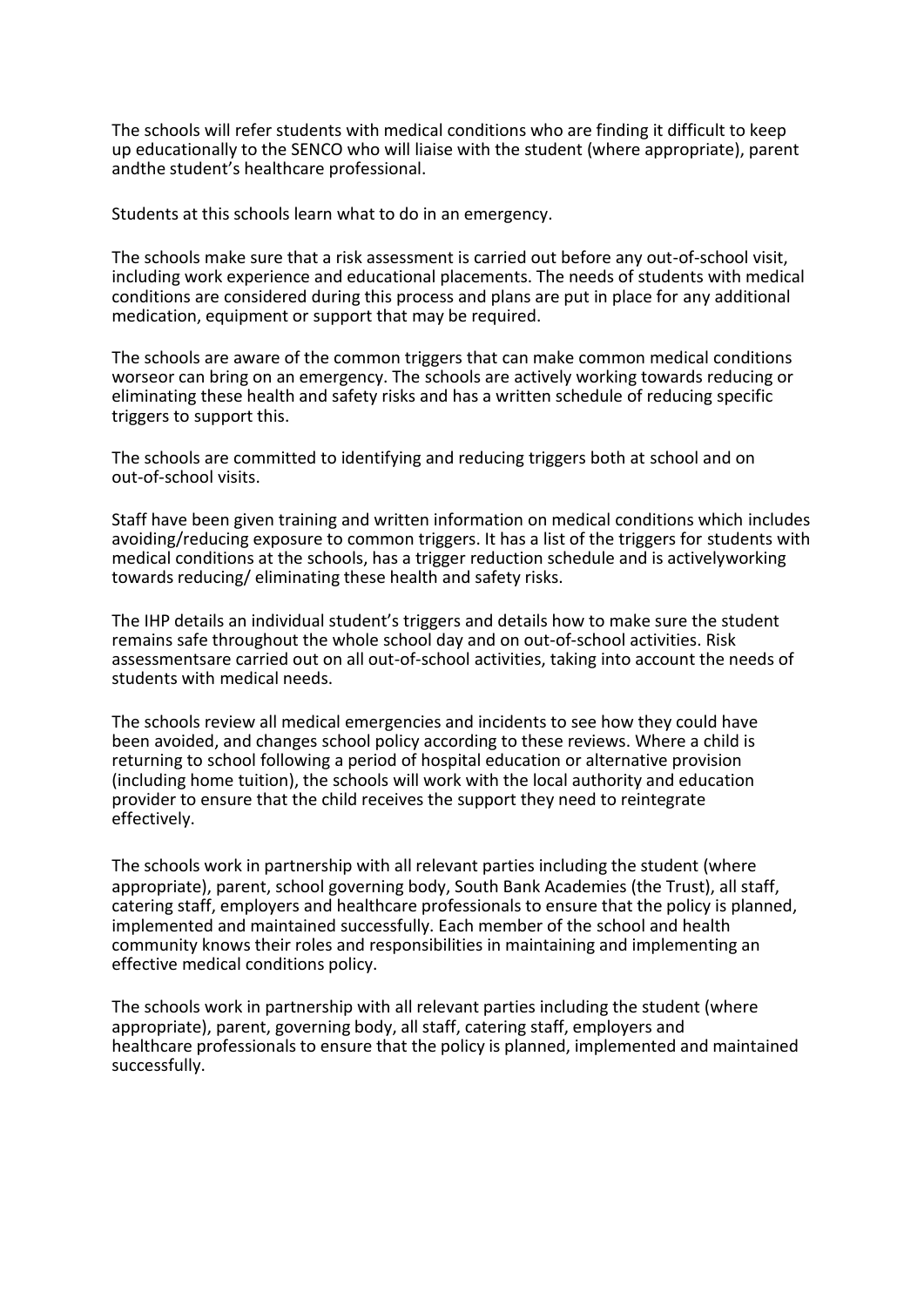The schools will refer students with medical conditions who are finding it difficult to keep up educationally to the SENCO who will liaise with the student (where appropriate), parent andthe student's healthcare professional.

Students at this schools learn what to do in an emergency.

The schools make sure that a risk assessment is carried out before any out-of-school visit, including work experience and educational placements. The needs of students with medical conditions are considered during this process and plans are put in place for any additional medication, equipment or support that may be required.

The schools are aware of the common triggers that can make common medical conditions worseor can bring on an emergency. The schools are actively working towards reducing or eliminating these health and safety risks and has a written schedule of reducing specific triggers to support this.

The schools are committed to identifying and reducing triggers both at school and on out-of-school visits.

Staff have been given training and written information on medical conditions which includes avoiding/reducing exposure to common triggers. It has a list of the triggers for students with medical conditions at the schools, has a trigger reduction schedule and is activelyworking towards reducing/ eliminating these health and safety risks.

The IHP details an individual student's triggers and details how to make sure the student remains safe throughout the whole school day and on out-of-school activities. Risk assessmentsare carried out on all out-of-school activities, taking into account the needs of students with medical needs.

The schools review all medical emergencies and incidents to see how they could have been avoided, and changes school policy according to these reviews. Where a child is returning to school following a period of hospital education or alternative provision (including home tuition), the schools will work with the local authority and education provider to ensure that the child receives the support they need to reintegrate effectively.

The schools work in partnership with all relevant parties including the student (where appropriate), parent, school governing body, South Bank Academies (the Trust), all staff, catering staff, employers and healthcare professionals to ensure that the policy is planned, implemented and maintained successfully. Each member of the school and health community knows their roles and responsibilities in maintaining and implementing an effective medical conditions policy.

The schools work in partnership with all relevant parties including the student (where appropriate), parent, governing body, all staff, catering staff, employers and healthcare professionals to ensure that the policy is planned, implemented and maintained successfully.